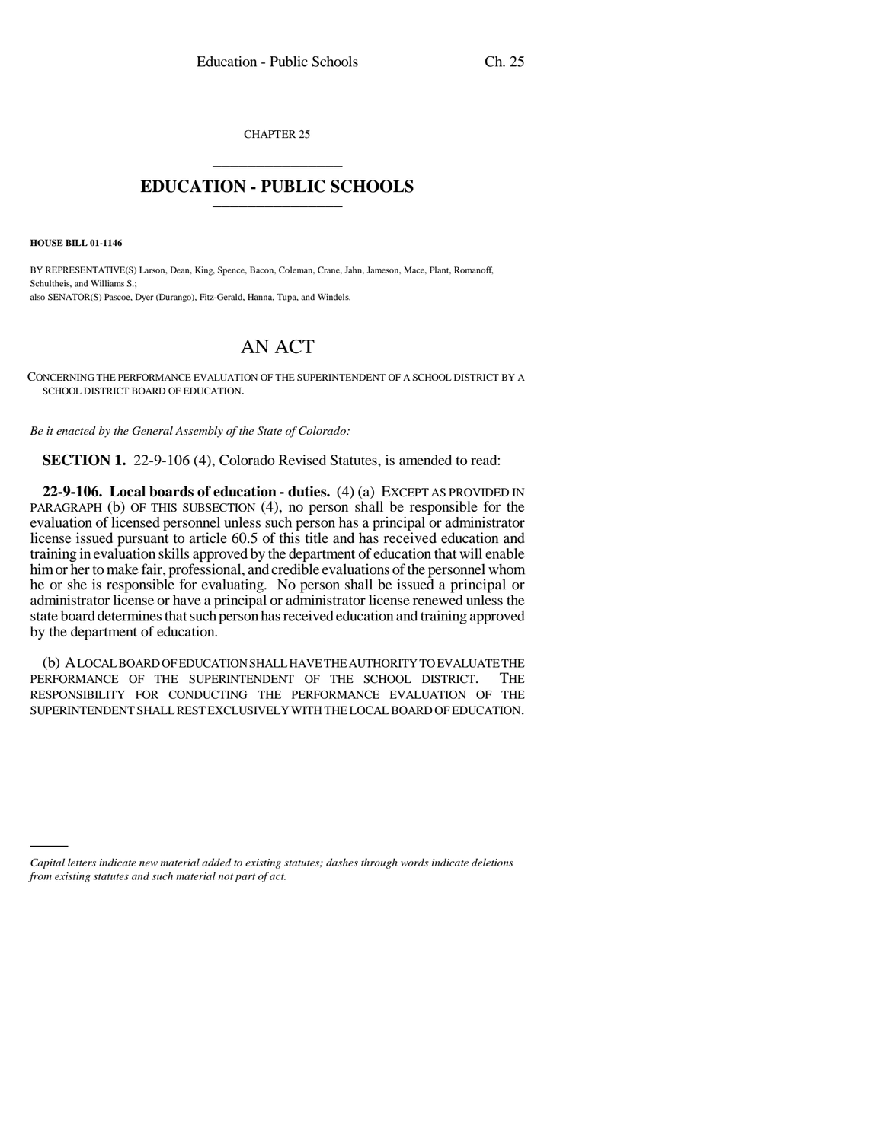CHAPTER 25 \_\_\_\_\_\_\_\_\_\_\_\_\_\_\_

## **EDUCATION - PUBLIC SCHOOLS** \_\_\_\_\_\_\_\_\_\_\_\_\_\_\_

**HOUSE BILL 01-1146**

BY REPRESENTATIVE(S) Larson, Dean, King, Spence, Bacon, Coleman, Crane, Jahn, Jameson, Mace, Plant, Romanoff, Schultheis, and Williams S.; also SENATOR(S) Pascoe, Dyer (Durango), Fitz-Gerald, Hanna, Tupa, and Windels.

## AN ACT

CONCERNING THE PERFORMANCE EVALUATION OF THE SUPERINTENDENT OF A SCHOOL DISTRICT BY A SCHOOL DISTRICT BOARD OF EDUCATION.

*Be it enacted by the General Assembly of the State of Colorado:*

**SECTION 1.** 22-9-106 (4), Colorado Revised Statutes, is amended to read:

**22-9-106. Local boards of education - duties.** (4) (a) EXCEPT AS PROVIDED IN PARAGRAPH (b) OF THIS SUBSECTION (4), no person shall be responsible for the evaluation of licensed personnel unless such person has a principal or administrator license issued pursuant to article 60.5 of this title and has received education and training in evaluation skills approved by the department of education that will enable him or her to make fair, professional, and credible evaluations of the personnel whom he or she is responsible for evaluating. No person shall be issued a principal or administrator license or have a principal or administrator license renewed unless the state board determines that such person has received education and training approved by the department of education.

(b) A LOCAL BOARD OF EDUCATION SHALL HAVE THE AUTHORITY TO EVALUATE THE PERFORMANCE OF THE SUPERINTENDENT OF THE SCHOOL DISTRICT. THE RESPONSIBILITY FOR CONDUCTING THE PERFORMANCE EVALUATION OF THE SUPERINTENDENT SHALL REST EXCLUSIVELY WITH THE LOCAL BOARD OF EDUCATION.

*Capital letters indicate new material added to existing statutes; dashes through words indicate deletions from existing statutes and such material not part of act.*